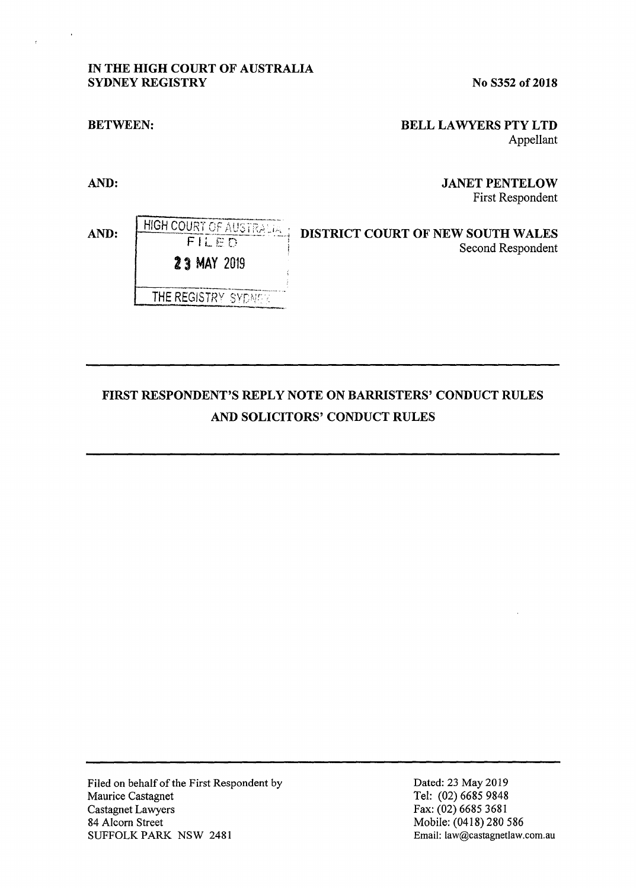# IN THE **HIGH** COURT OF AUSTRALIA **SYDNEY REGISTRY** No S352 of 2018

**Z** 3 MAY 2019

HIGH COURT OF AUSTRALIA FILED

THE REGISTRY SYDNEY

#### **BETWEEN:**

## **BELL LA WYERS PTY LTD**  Appellant

**AND:** 

**AND:** 

## **JANET PENTELOW**  First Respondent

# **DISTRICT COURT OF NEW SOUTH WALES**  Second Respondent

# **FIRST RESPONDENT'S REPLY NOTE ON BARRISTERS' CONDUCT RULES AND SOLICITORS' CONDUCT RULES**

Filed on behalf of the First Respondent by Maurice Castagnet Castagnet Lawyers 84 Alcorn Street SUFFOLK PARK NSW 2481

Dated: 23 May 2019 Tel: (02) 6685 9848 Fax: (02) 6685 3681 Mobile: (0418) 280 586 Email: Iaw@castagnetlaw.com.au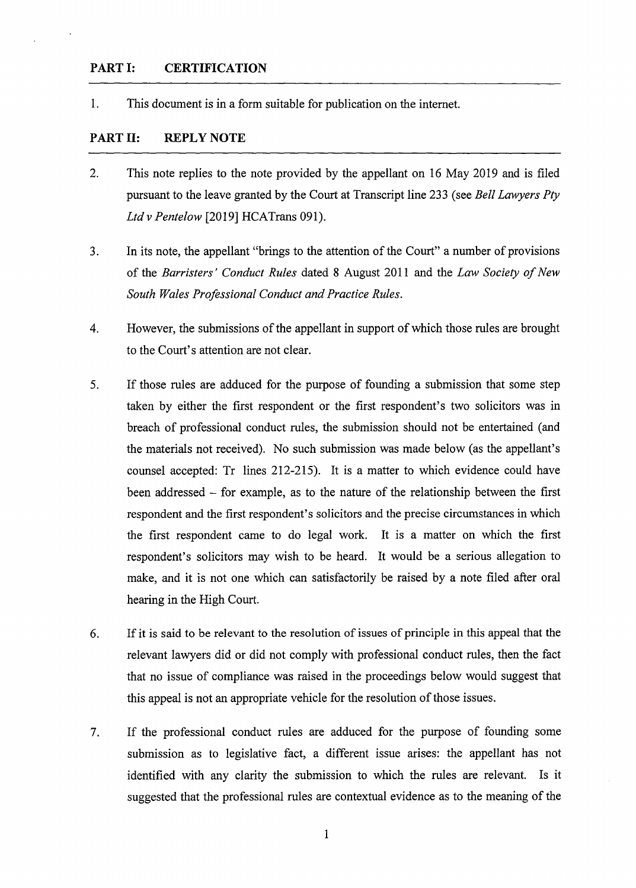#### **PART I: CERTIFICATION**

1. This document is in a form suitable for publication on the internet.

## **PART II: REPLY NOTE**

- 2. This note replies to the note provided by the appellant on 16 May 2019 and is filed pursuant to the leave granted by the Court at Transcript line 233 (see *Bell Lawyers Pty Ltdv Pentelow* [2019] HCATrans 091).
- 3. In its note, the appellant "brings to the attention of the Court" a number of provisions of the *Barristers' Conduct Rules* dated 8 August 2011 and the *Law Society of New South Wales Professional Conduct and Practice Rules.*
- 4. However, the submissions of the appellant in support of which those rules are brought to the Court's attention are not clear.
- 5. If those rules are adduced for the purpose of founding a submission that some step taken by either the first respondent or the first respondent's two solicitors was in breach of professional conduct rules, the submission should not be entertained ( and the materials not received). No such submission was made below (as the appellant's counsel accepted: Tr lines 212-215). It is a matter to which evidence could have been addressed - for example, as to the nature of the relationship between the first respondent and the first respondent's solicitors and the precise circumstances in which the first respondent came to do legal work. It is a matter on which the first respondent's solicitors may wish to be heard. It would be a serious allegation to make, and it is not one which can satisfactorily be raised by a note filed after oral hearing in the High Court.
- 6. If it is said to be relevant to the resolution of issues of principle in this appeal that the relevant lawyers did or did not comply with professional conduct rules, then the fact that no issue of compliance was raised in the proceedings below would suggest that this appeal is not an appropriate vehicle for the resolution of those issues.
- 7. If the professional conduct rules are adduced for the purpose of founding some submission as to legislative fact, a different issue arises: the appellant has not identified with any clarity the submission to which the rules are relevant. Is it suggested that the professional rules are contextual evidence as to the meaning of the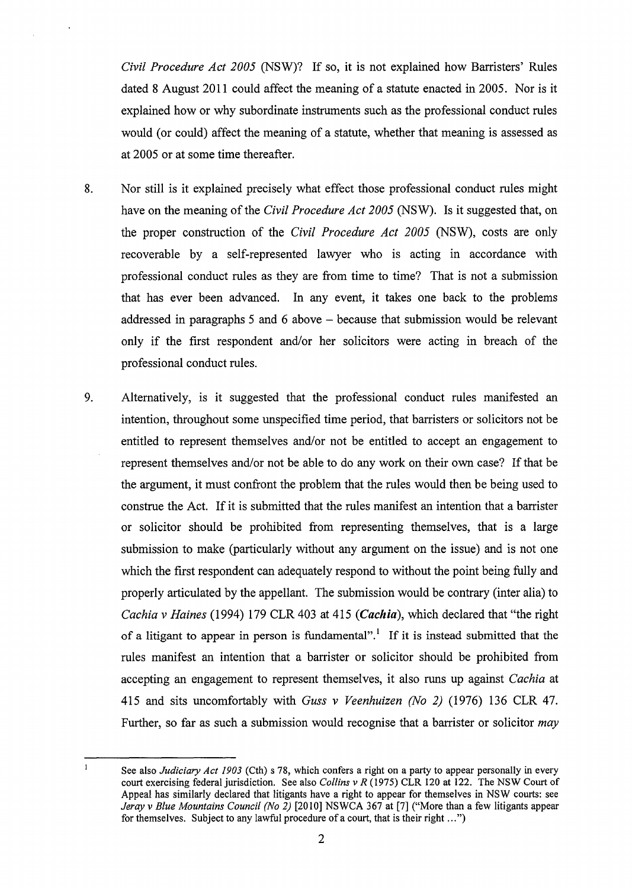*Civil Procedure Act 2005* (NSW)? If so, it is not explained how Barristers' Rules dated 8 August 2011 could affect the meaning of a statute enacted in 2005. Nor is it explained how or why subordinate instruments such as the professional conduct rules would (or could) affect the meaning of a statute, whether that meaning is assessed as at 2005 or at some time thereafter.

- 8. Nor still is it explained precisely what effect those professional conduct rules might have on the meaning of the *Civil Procedure Act 2005* (NSW). Is it suggested that, on the proper construction of the *Civil Procedure Act 2005* (NSW), costs are only recoverable by a self-represented lawyer who is acting in accordance with professional conduct rules as they are from time to time? That is not a submission that has ever been advanced. In any event, it takes one back to the problems addressed in paragraphs 5 and 6 above - because that submission would be relevant only if the first respondent and/or her solicitors were acting in breach of the professional conduct rules.
- 9. Alternatively, is it suggested that the professional conduct rules manifested an intention, throughout some unspecified time period, that barristers or solicitors not be entitled to represent themselves and/or not be entitled to accept an engagement to represent themselves and/or not be able to do any work on their own case? If that be the argument, it must confront the problem that the rules would then be being used to construe the Act. If it is submitted that the rules manifest an intention that a barrister or solicitor should be prohibited from representing themselves, that is a large submission to make (particularly without any argument on the issue) and is not one which the first respondent can adequately respond to without the point being fully and properly articulated by the appellant. The submission would be contrary (inter alia) to *Cachia v Haines* (1994) 179 CLR 403 at 415 (*Cachia*), which declared that "the right of a litigant to appear in person is fundamental".<sup>1</sup> If it is instead submitted that the rules manifest an intention that a barrister or solicitor should be prohibited from accepting an engagement to represent themselves, it also runs up against *Cachia* at 415 and sits uncomfortably with *Guss v Veenhuizen (No 2)* (1976) 136 CLR 47. Further, so far as such a submission would recognise that a barrister or solicitor *may*

 $\mathbf{1}$ 

See also *Judiciary Act 1903* (Cth) s 78, which confers a right on a party to appear personally in every court exercising federal jurisdiction. See also *Collins v R* (1975) CLR 120 at 122. The NSW Court of Appeal has similarly declared that litigants have a right to appear for themselves in NSW courts: see *Jeray v Blue Mountains Council (No 2)* [2010) NSWCA 367 at [7] ("More than a few litigants appear for themselves. Subject to any lawful procedure of a court, that is their right ... ")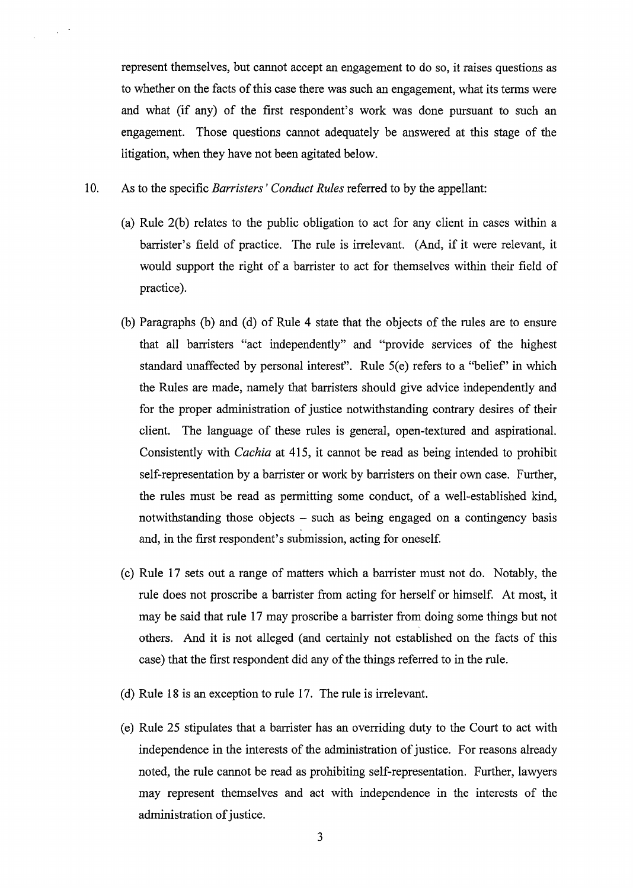represent themselves, but cannot accept an engagement to do so, it raises questions as to whether on the facts of this case there was such an engagement, what its terms were and what (if any) of the first respondent's work was done pursuant to such an engagement. Those questions cannot adequately be answered at this stage of the litigation, when they have not been agitated below.

10. As to the specific *Barristers' Conduct Rules* referred to by the appellant:

- (a) Rule 2(b) relates to the public obligation to act for any client in cases within a barrister's field of practice. The rule is irrelevant. (And, if it were relevant, it would support the right of a barrister to act for themselves within their field of practice).
- (b) Paragraphs (b) and (d) of Rule 4 state that the objects of the rules are to ensure that all barristers "act independently" and "provide services of the highest standard unaffected by personal interest". Rule  $5(e)$  refers to a "belief" in which the Rules are made, namely that barristers should give advice independently and for the proper administration of justice notwithstanding contrary desires of their client. The language of these rules is general, open-textured and aspirational. Consistently with *Cachia* at 415, it cannot be read as being intended to prohibit self-representation by a barrister or work by barristers on their own case. Further, the rules must be read as permitting some conduct, of a well-established kind, notwithstanding those objects - such as being engaged on a contingency basis and, in the first respondent's submission, acting for oneself.
- (c) Rule 17 sets out a range of matters which a barrister must not do. Notably, the rule does not proscribe a barrister from acting for herself or himself. At most, it may be said that rule 17 may proscribe a barrister from doing some things but not others. And it is not alleged (and certainly not established on the facts of this case) that the first respondent did any of the things referred to in the rule.
- (d) Rule 18 is an exception to rule 17. The rule is irrelevant.
- (e) Rule 25 stipulates that a barrister has an overriding duty to the Court to act with independence in the interests of the administration of justice. For reasons already noted, the rule cannot be read as prohibiting self-representation. Further, lawyers may represent themselves and act with independence in the interests of the administration of justice.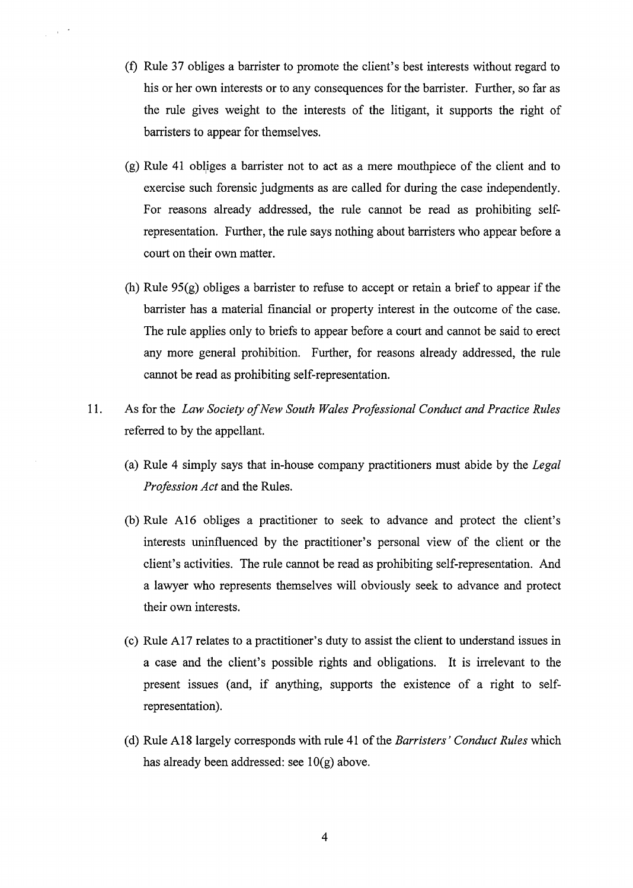- (f) Rule 37 obliges a barrister to promote the client's best interests without regard to his or her own interests or to any consequences for the barrister. Further, so far as the rule gives weight to the interests of the litigant, it supports the right of barristers to appear for themselves.
- (g) Rule 41 obllges a barrister not to act as a mere mouthpiece of the client and to exercise such forensic judgments as are called for during the case independently. For reasons already addressed, the rule cannot be read as prohibiting selfrepresentation. Further, the rule says nothing about barristers who appear before a court on their own matter.
- (h) Rule 95(g) obliges a barrister to refuse to accept or retain a brief to appear if the barrister has a material financial or property interest in the outcome of the case. The rule applies only to briefs to appear before a court and cannot be said to erect any more general prohibition. Further, for reasons already addressed, the rule cannot be read as prohibiting self-representation.
- 11. As for the *Law Society of New South Wales Professional Conduct and Practice Rules*  referred to by the appellant.
	- (a) Rule 4 simply says that in-house company practitioners must abide by the *Legal Profession Act* and the Rules.
	- (b) Rule A16 obliges a practitioner to seek to advance and protect the client's interests uninfluenced by the practitioner's personal view of the client or the client's activities. The rule cannot be read as prohibiting self-representation. And a lawyer who represents themselves will obviously seek to advance and protect their own interests.
	- (c) Rule Al 7 relates to a practitioner's duty to assist the client to understand issues in a case and the client's possible rights and obligations. It is irrelevant to the present issues (and, if anything, supports the existence of a right to selfrepresentation).
	- (d) Rule Al8 largely corresponds with rule 41 of the *Barristers' Conduct Rules* which has already been addressed: see  $10(g)$  above.